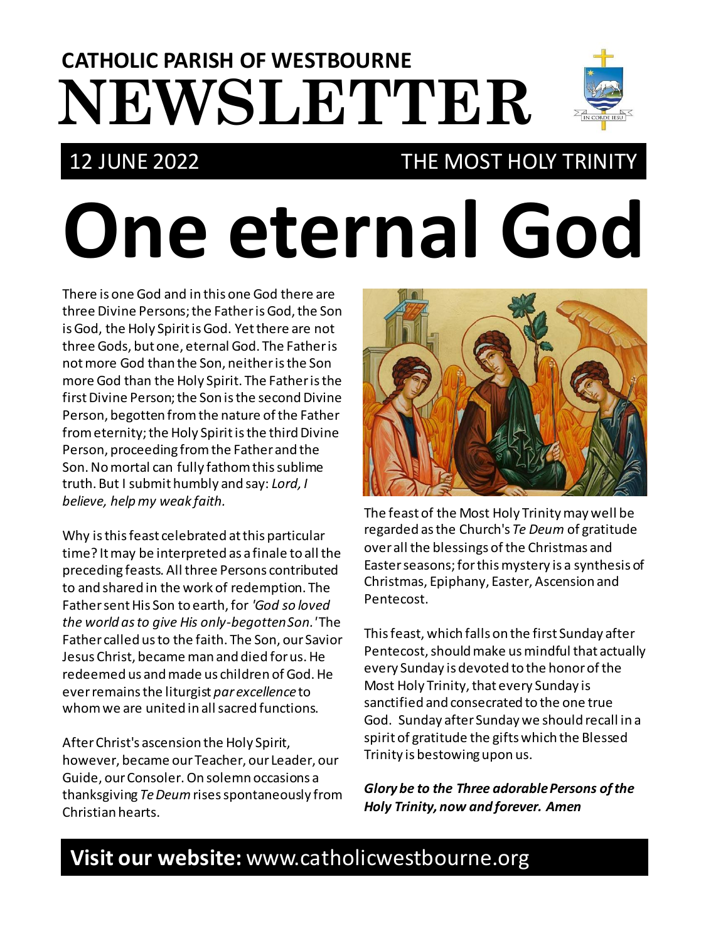# **NEWSLETTER CATHOLIC PARISH OF WESTBOURNE**

## 12 JUNE 2022 THE MOST HOLY TRINITY

# **One eternal God**

There is one God and in this one God there are three Divine Persons; the Father is God, the Son is God, the Holy Spirit is God. Yet there are not three Gods, but one, eternal God. The Father is not more God than the Son, neither is the Son more God than the Holy Spirit. The Father is the first Divine Person; the Son is the second Divine Person, begotten from the nature of the Father from eternity; the Holy Spirit is the third Divine Person, proceeding from the Father and the Son. No mortal can fully fathom this sublime truth. But I submit humbly and say: *Lord, I believe, help my weak faith.*

Why is this feast celebrated at this particular time? It may be interpreted as a finale to all the preceding feasts. All three Persons contributed to and shared in the work of redemption. The Father sent His Son to earth, for *'God so loved the world as to give His only-begotten Son.'*The Father called us to the faith. The Son, our Savior Jesus Christ, became man and died for us. He redeemed us and made us children of God. He ever remains the liturgist *par excellence*to whom we are united in all sacred functions.

After Christ's ascension the Holy Spirit, however, became our Teacher, our Leader, our Guide, our Consoler. On solemn occasions a thanksgiving *TeDeum*rises spontaneously from Christian hearts.



The feast of the Most Holy Trinity may well be regarded as the Church's *Te Deum* of gratitude over all the blessings of the Christmas and Easter seasons; for this mystery is a synthesis of Christmas, Epiphany, Easter, Ascension and Pentecost.

This feast, which falls on the first Sunday after Pentecost, should make us mindful that actually every Sunday is devoted to the honorof the Most Holy Trinity, that every Sunday is sanctified and consecrated to the one true God. Sunday after Sunday we should recall in a spirit of gratitude the gifts which the Blessed Trinity is bestowing upon us.

*Glory be to the Three adorable Persons of the Holy Trinity, now and forever. Amen*

## **Visit our website:** www.catholicwestbourne.org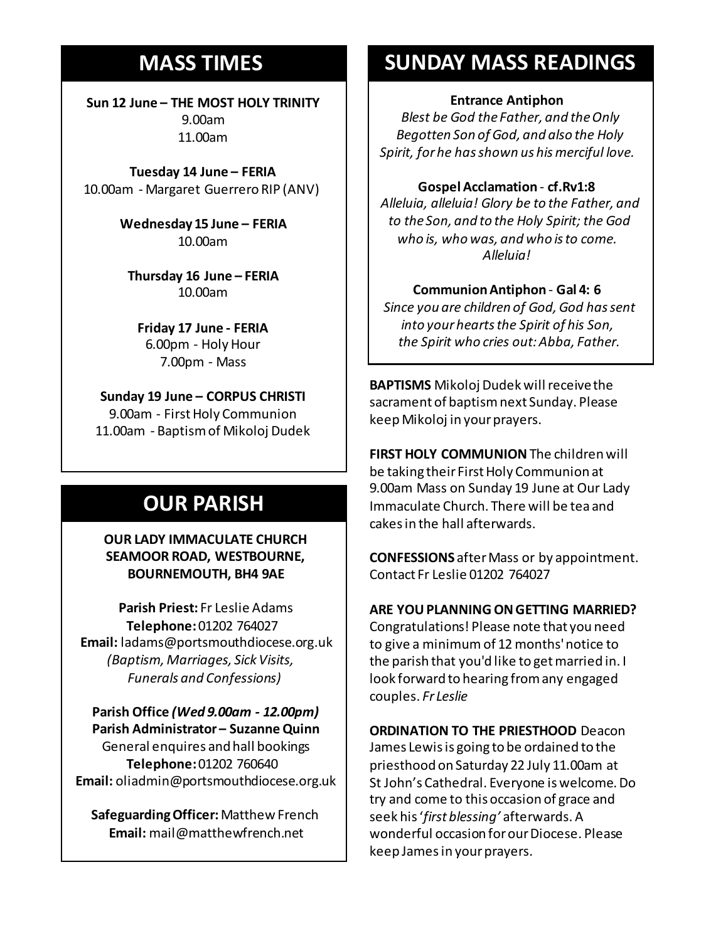## **MASS TIMES**

**Sun 12 June – THE MOST HOLY TRINITY** 9.00am 11.00am

**Tuesday 14 June – FERIA** 10.00am - Margaret Guerrero RIP (ANV)

**Sunday 11th 9am:** *The Parish* **Wednesday 15 June – FERIA 11am** *Tim Mc Cann* 10.00am

**Wednesday 14th** *Repose of the souls of Bernard Charles and Elsie May Pratt* **Thursday 16 June – FERIA Saturday 16th** *Rosemarie Schofield RIP* 10.00am

**Sunday 18th 11am** *The Parish*  **Friday 17 June - FERIA** 6.00pm - Holy Hour 7.00pm - Mass

> **Sunday 19 June – CORPUS CHRISTI** 9.00am - First Holy Communion 11.00am - Baptism of Mikoloj Dudek

## **OUR PARISH**

**OUR LADY IMMACULATE CHURCH SEAMOOR ROAD, WESTBOURNE, BOURNEMOUTH, BH4 9AE**

**Parish Priest:** Fr Leslie Adams **Telephone:**01202 764027 **Email:** ladams@portsmouthdiocese.org.uk *(Baptism, Marriages, Sick Visits, Funerals and Confessions)*

**Parish Office** *(Wed 9.00am - 12.00pm)* **Parish Administrator – Suzanne Quinn** General enquires andhall bookings **Telephone:**01202 760640 **Email:** oliadmin@portsmouthdiocese.org.uk

**Safeguarding Officer:**Matthew French **Email:** mail@matthewfrench.net

## **SUNDAY MASS READINGS**

#### **Entrance Antiphon**

*Blest be God the Father, and the Only Begotten Son of God, and also the Holy Spirit, for he has shown us his merciful love.*

#### **Gospel Acclamation** - **cf.Rv1:8**

*Alleluia, alleluia! Glory be to the Father, and to the Son, and to the Holy Spirit; the God who is, who was, and who is to come. Alleluia!* 

#### **Communion Antiphon** - **Gal 4: 6**

*Since you are children of God, God has sent into your hearts the Spirit of his Son, the Spirit who cries out: Abba, Father.*

**BAPTISMS** Mikoloj Dudek will receive the sacrament of baptism next Sunday. Please keep Mikoloj in your prayers.

**FIRST HOLY COMMUNION**The children will be taking their First Holy Communion at 9.00am Mass on Sunday 19 June at Our Lady Immaculate Church. There will be tea and cakes in the hall afterwards.

**CONFESSIONS** after Mass or by appointment. Contact Fr Leslie 01202 764027

#### **ARE YOU PLANNING ON GETTING MARRIED?**

Congratulations! Please note that you need to give a minimumof 12months' notice to the parish that you'd like to get married in. I look forward to hearing from any engaged couples. *Fr Leslie*

**ORDINATION TO THE PRIESTHOOD** Deacon James Lewis is going to be ordained to the priesthood on Saturday 22 July 11.00am at St John's Cathedral. Everyone is welcome. Do try and come to this occasion of grace and seek his '*first blessing'* afterwards. A wonderful occasion for our Diocese. Please keep Jamesin your prayers.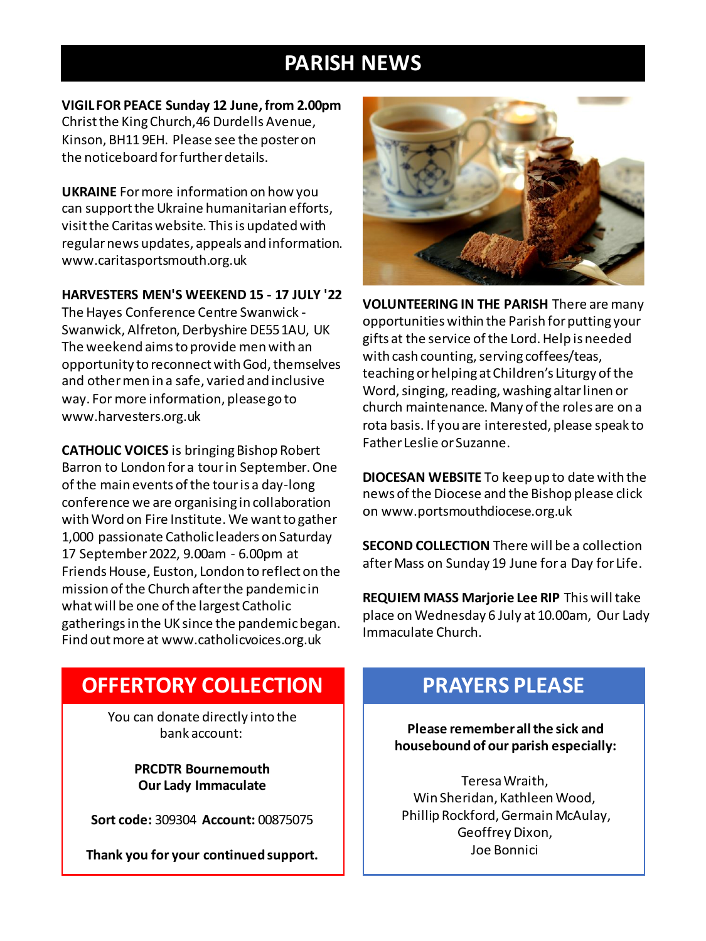## **PARISH NEWS**

**VIGIL FOR PEACE Sunday 12 June, from 2.00pm** Christ the King Church,46 Durdells Avenue, Kinson, BH11 9EH. Please see the poster on the noticeboard for further details.

**UKRAINE** For more information on how you can support the Ukraine humanitarian efforts, visit the Caritas website. This is updated with regular news updates, appeals and information. www.caritasportsmouth.org.uk

#### **HARVESTERS MEN'S WEEKEND 15 - 17 JULY '22**

The Hayes Conference Centre Swanwick - Swanwick, Alfreton, Derbyshire DE55 1AU, UK The weekend aims to provide men with an opportunity to reconnect with God, themselves and other men in a safe, varied and inclusive way. For more information, please go to www.harvesters.org.uk

**CATHOLIC VOICES** is bringing Bishop Robert Barron to London for a tour in September. One of the main events of the tour is a day-long conference we are organising in collaboration with Word on Fire Institute. We want to gather 1,000 passionate Catholic leaders on Saturday 17 September 2022, 9.00am - 6.00pm at Friends House, Euston, London to reflect on the mission of the Church after the pandemic in what will be one of the largest Catholic gatherings in the UK since the pandemic began. Find out more at www.catholicvoices.org.uk



**VOLUNTEERING IN THE PARISH** There are many opportunities within the Parish for putting your gifts at the service of the Lord. Help is needed with cash counting, serving coffees/teas, teaching or helping at Children's Liturgy of the Word, singing, reading, washing altar linen or church maintenance. Many of the roles are on a rota basis. If you are interested, please speak to Father Leslie or Suzanne.

**DIOCESAN WEBSITE** To keep up to date with the news of the Diocese and the Bishop please click on www.portsmouthdiocese.org.uk

**SECOND COLLECTION** There will be a collection after Mass on Sunday 19 June for a Day for Life.

**REQUIEM MASS Marjorie Lee RIP** This will take place on Wednesday 6 July at 10.00am, Our Lady Immaculate Church.

### **OFFERTORY COLLECTION**

You can donate directly into the bank account:

> **PRCDTR Bournemouth Our Lady Immaculate**

**Sort code:** 309304 **Account:** 00875075

**Thank you for your continued support.**

#### **PRAYERS PLEASE**

**Please remember all the sick and housebound of our parish especially:**

Teresa Wraith, Win Sheridan, Kathleen Wood, Phillip Rockford, Germain McAulay, Geoffrey Dixon, Joe Bonnici